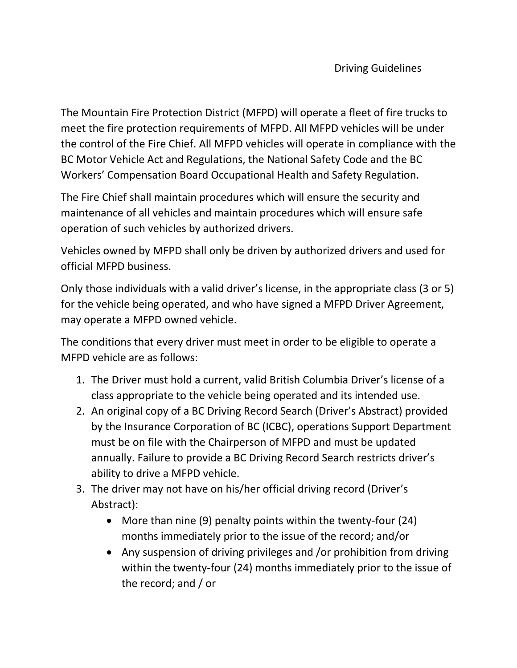The Mountain Fire Protection District (MFPD) will operate a fleet of fire trucks to meet the fire protection requirements of MFPD. All MFPD vehicles will be under the control of the Fire Chief. All MFPD vehicles will operate in compliance with the BC Motor Vehicle Act and Regulations, the National Safety Code and the BC Workers' Compensation Board Occupational Health and Safety Regulation.

The Fire Chief shall maintain procedures which will ensure the security and maintenance of all vehicles and maintain procedures which will ensure safe operation of such vehicles by authorized drivers.

Vehicles owned by MFPD shall only be driven by authorized drivers and used for official MFPD business.

Only those individuals with a valid driver's license, in the appropriate class (3 or 5) for the vehicle being operated, and who have signed a MFPD Driver Agreement, may operate a MFPD owned vehicle.

The conditions that every driver must meet in order to be eligible to operate a MFPD vehicle are as follows:

- 1. The Driver must hold a current, valid British Columbia Driver's license of a class appropriate to the vehicle being operated and its intended use.
- 2. An original copy of a BC Driving Record Search (Driver's Abstract) provided by the Insurance Corporation of BC (ICBC), operations Support Department must be on file with the Chairperson of MFPD and must be updated annually. Failure to provide a BC Driving Record Search restricts driver's ability to drive a MFPD vehicle.
- 3. The driver may not have on his/her official driving record (Driver's Abstract):
	- More than nine (9) penalty points within the twenty-four (24) months immediately prior to the issue of the record; and/or
	- Any suspension of driving privileges and /or prohibition from driving within the twenty-four (24) months immediately prior to the issue of the record; and / or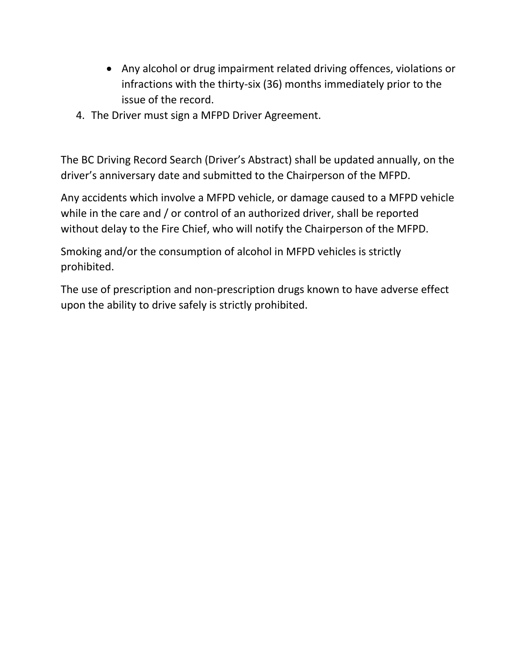- Any alcohol or drug impairment related driving offences, violations or infractions with the thirty-six (36) months immediately prior to the issue of the record.
- 4. The Driver must sign a MFPD Driver Agreement.

The BC Driving Record Search (Driver's Abstract) shall be updated annually, on the driver's anniversary date and submitted to the Chairperson of the MFPD.

Any accidents which involve a MFPD vehicle, or damage caused to a MFPD vehicle while in the care and / or control of an authorized driver, shall be reported without delay to the Fire Chief, who will notify the Chairperson of the MFPD.

Smoking and/or the consumption of alcohol in MFPD vehicles is strictly prohibited.

The use of prescription and non-prescription drugs known to have adverse effect upon the ability to drive safely is strictly prohibited.